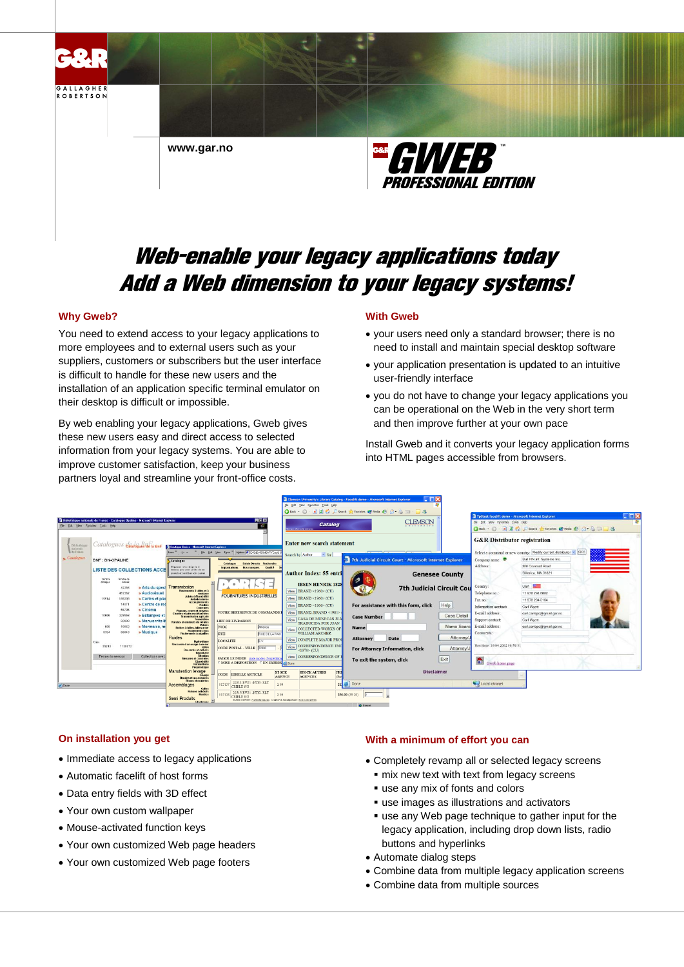

# **Why Gweb?**

You need to extend access to your legacy applications to more employees and to external users such as your suppliers, customers or subscribers but the user interface is difficult to handle for these new users and the installation of an application specific terminal emulator on their desktop is difficult or impossible.

By web enabling your legacy applications, Gweb gives these new users easy and direct access to selected information from your legacy systems. You are able to improve customer satisfaction, keep your business partners loyal and streamline your front-office costs.

# **With Gweb**

- your users need only a standard browser; there is no need to install and maintain special desktop software
- your application presentation is updated to an intuitive user-friendly interface
- you do not have to change your legacy applications you can be operational on the Web in the very short term and then improve further at your own pace

Install Gweb and it converts your legacy application forms into HTML pages accessible from browsers.



# **On installation you get**

- Immediate access to legacy applications
- Automatic facelift of host forms
- Data entry fields with 3D effect
- Your own custom wallpaper
- Mouse-activated function keys
- Your own customized Web page headers
- Your own customized Web page footers

### **With a minimum of effort you can**

- Completely revamp all or selected legacy screens
- $\blacksquare$  mix new text with text from legacy screens
- use any mix of fonts and colors
- use images as illustrations and activators
- use any Web page technique to gather input for the legacy application, including drop down lists, radio buttons and hyperlinks
- Automate dialog steps
- Combine data from multiple legacy application screens
- Combine data from multiple sources